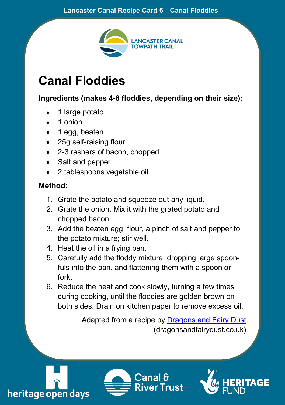## **Lancaster Canal Recipe Card 6—Canal Floddies**



## **Canal Floddies**

**Ingredients (makes 4-8 floddies, depending on their size):**

- 1 large potato
- 1 onion
- 1 egg, beaten
- 25g self-raising flour
- 2-3 rashers of bacon, chopped
- Salt and pepper
- 2 tablespoons vegetable oil

## **Method:**

- 1. Grate the potato and squeeze out any liquid.
- 2. Grate the onion. Mix it with the grated potato and chopped bacon.
- 3. Add the beaten egg, flour, a pinch of salt and pepper to the potato mixture; stir well.
- 4. Heat the oil in a frying pan.
- 5. Carefully add the floddy mixture, dropping large spoonfuls into the pan, and flattening them with a spoon or fork.
- 6. Reduce the heat and cook slowly, turning a few times during cooking, until the floddies are golden brown on both sides. Drain on kitchen paper to remove excess oil.

Adapted from a recipe by [Dragons and Fairy Dust](https://dragonsandfairydust.co.uk/canal-floddies/) (dragonsandfairydust.co.uk)